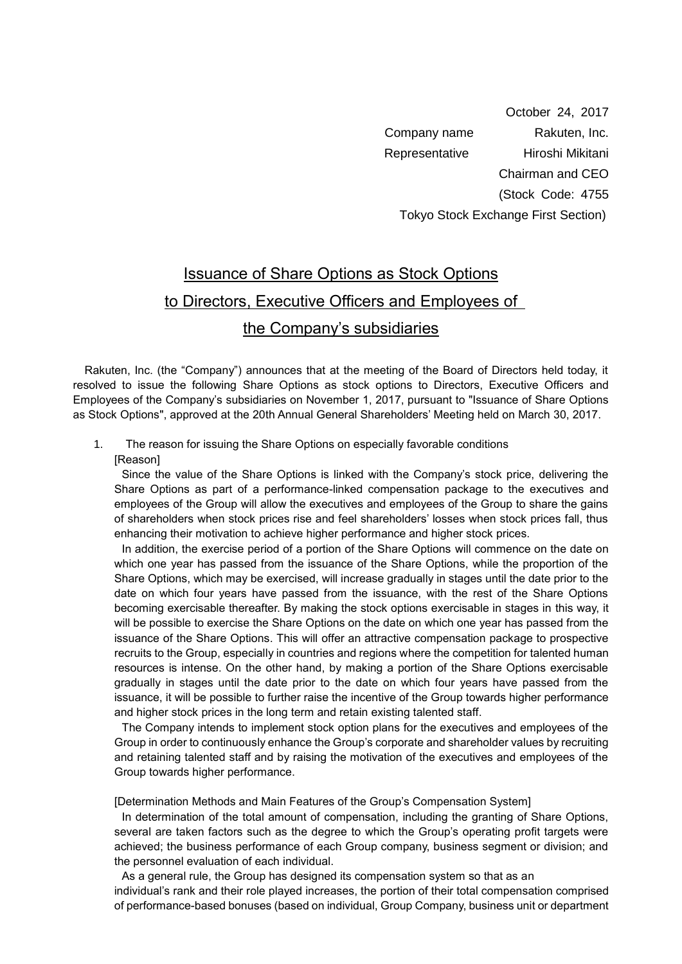October 24, 2017 Company name Rakuten, Inc. Representative Hiroshi Mikitani Chairman and CEO (Stock Code: 4755 Tokyo Stock Exchange First Section)

## Issuance of Share Options as Stock Options to Directors, Executive Officers and Employees of the Company's subsidiaries

 Rakuten, Inc. (the "Company") announces that at the meeting of the Board of Directors held today, it resolved to issue the following Share Options as stock options to Directors, Executive Officers and Employees of the Company's subsidiaries on November 1, 2017, pursuant to "Issuance of Share Options as Stock Options", approved at the 20th Annual General Shareholders' Meeting held on March 30, 2017.

## 1. The reason for issuing the Share Options on especially favorable conditions

[Reason]

Since the value of the Share Options is linked with the Company's stock price, delivering the Share Options as part of a performance-linked compensation package to the executives and employees of the Group will allow the executives and employees of the Group to share the gains of shareholders when stock prices rise and feel shareholders' losses when stock prices fall, thus enhancing their motivation to achieve higher performance and higher stock prices.

In addition, the exercise period of a portion of the Share Options will commence on the date on which one year has passed from the issuance of the Share Options, while the proportion of the Share Options, which may be exercised, will increase gradually in stages until the date prior to the date on which four years have passed from the issuance, with the rest of the Share Options becoming exercisable thereafter. By making the stock options exercisable in stages in this way, it will be possible to exercise the Share Options on the date on which one year has passed from the issuance of the Share Options. This will offer an attractive compensation package to prospective recruits to the Group, especially in countries and regions where the competition for talented human resources is intense. On the other hand, by making a portion of the Share Options exercisable gradually in stages until the date prior to the date on which four years have passed from the issuance, it will be possible to further raise the incentive of the Group towards higher performance and higher stock prices in the long term and retain existing talented staff.

The Company intends to implement stock option plans for the executives and employees of the Group in order to continuously enhance the Group's corporate and shareholder values by recruiting and retaining talented staff and by raising the motivation of the executives and employees of the Group towards higher performance.

[Determination Methods and Main Features of the Group's Compensation System]

In determination of the total amount of compensation, including the granting of Share Options, several are taken factors such as the degree to which the Group's operating profit targets were achieved; the business performance of each Group company, business segment or division; and the personnel evaluation of each individual.

As a general rule, the Group has designed its compensation system so that as an individual's rank and their role played increases, the portion of their total compensation comprised of performance-based bonuses (based on individual, Group Company, business unit or department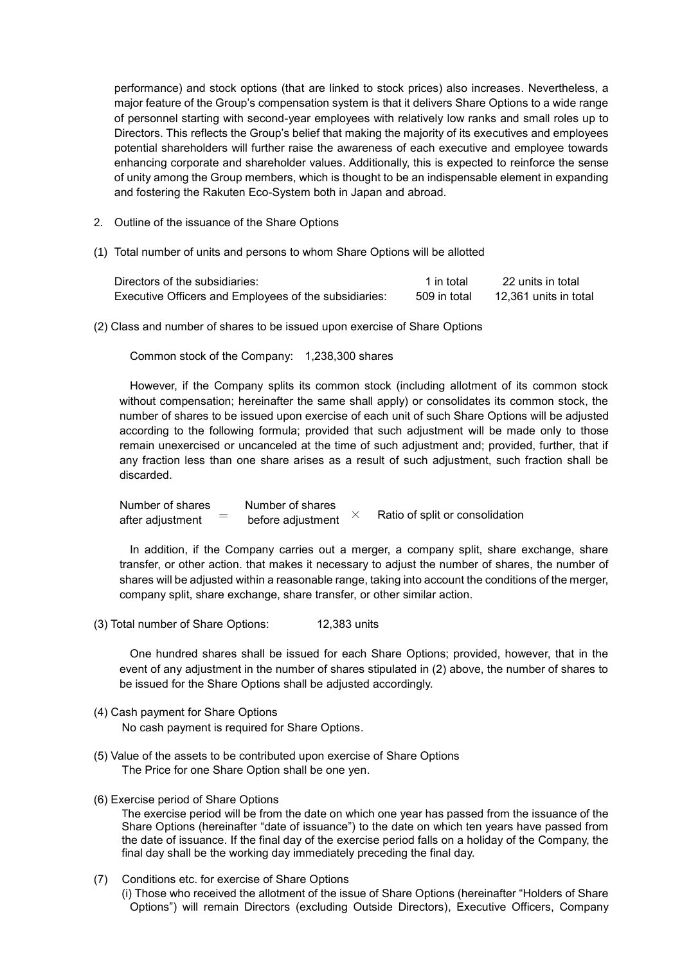performance) and stock options (that are linked to stock prices) also increases. Nevertheless, a major feature of the Group's compensation system is that it delivers Share Options to a wide range of personnel starting with second-year employees with relatively low ranks and small roles up to Directors. This reflects the Group's belief that making the majority of its executives and employees potential shareholders will further raise the awareness of each executive and employee towards enhancing corporate and shareholder values. Additionally, this is expected to reinforce the sense of unity among the Group members, which is thought to be an indispensable element in expanding and fostering the Rakuten Eco-System both in Japan and abroad.

- 2. Outline of the issuance of the Share Options
- (1) Total number of units and persons to whom Share Options will be allotted

| Directors of the subsidiaries:                        | 1 in total   | 22 units in total     |
|-------------------------------------------------------|--------------|-----------------------|
| Executive Officers and Employees of the subsidiaries: | 509 in total | 12,361 units in total |

(2) Class and number of shares to be issued upon exercise of Share Options

Common stock of the Company: 1,238,300 shares

However, if the Company splits its common stock (including allotment of its common stock without compensation; hereinafter the same shall apply) or consolidates its common stock, the number of shares to be issued upon exercise of each unit of such Share Options will be adjusted according to the following formula; provided that such adjustment will be made only to those remain unexercised or uncanceled at the time of such adjustment and; provided, further, that if any fraction less than one share arises as a result of such adjustment, such fraction shall be discarded.

Number of shares Number of shares<br>  $\theta$  ster adjustment  $\theta$  = hefore adjustment after adjustment  $\sigma =$  before adjustment  $\times$ Ratio of split or consolidation

In addition, if the Company carries out a merger, a company split, share exchange, share transfer, or other action. that makes it necessary to adjust the number of shares, the number of shares will be adjusted within a reasonable range, taking into account the conditions of the merger, company split, share exchange, share transfer, or other similar action.

(3) Total number of Share Options: 12,383 units

One hundred shares shall be issued for each Share Options; provided, however, that in the event of any adjustment in the number of shares stipulated in (2) above, the number of shares to be issued for the Share Options shall be adjusted accordingly.

- (4) Cash payment for Share Options No cash payment is required for Share Options.
- (5) Value of the assets to be contributed upon exercise of Share Options The Price for one Share Option shall be one yen.
- (6) Exercise period of Share Options

The exercise period will be from the date on which one year has passed from the issuance of the Share Options (hereinafter "date of issuance") to the date on which ten years have passed from the date of issuance. If the final day of the exercise period falls on a holiday of the Company, the final day shall be the working day immediately preceding the final day.

(7) Conditions etc. for exercise of Share Options (i) Those who received the allotment of the issue of Share Options (hereinafter "Holders of Share Options") will remain Directors (excluding Outside Directors), Executive Officers, Company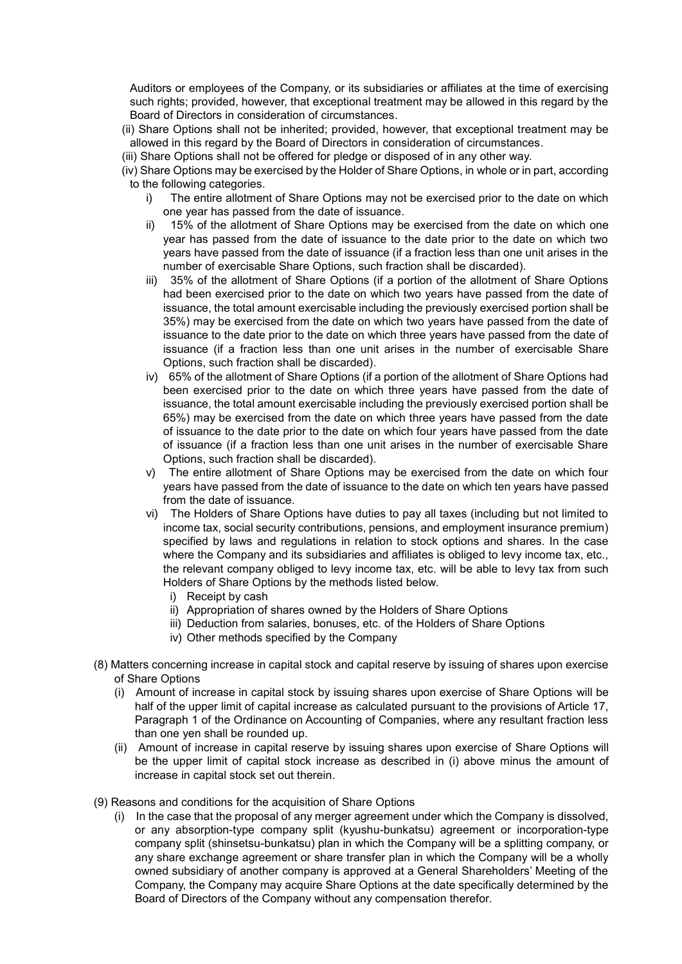Auditors or employees of the Company, or its subsidiaries or affiliates at the time of exercising such rights; provided, however, that exceptional treatment may be allowed in this regard by the Board of Directors in consideration of circumstances.

- (ii) Share Options shall not be inherited; provided, however, that exceptional treatment may be allowed in this regard by the Board of Directors in consideration of circumstances.
- (iii) Share Options shall not be offered for pledge or disposed of in any other way.
- (iv) Share Options may be exercised by the Holder of Share Options, in whole or in part, according to the following categories.
	- i) The entire allotment of Share Options may not be exercised prior to the date on which one year has passed from the date of issuance.
	- ii) 15% of the allotment of Share Options may be exercised from the date on which one year has passed from the date of issuance to the date prior to the date on which two years have passed from the date of issuance (if a fraction less than one unit arises in the number of exercisable Share Options, such fraction shall be discarded).
	- iii) 35% of the allotment of Share Options (if a portion of the allotment of Share Options had been exercised prior to the date on which two years have passed from the date of issuance, the total amount exercisable including the previously exercised portion shall be 35%) may be exercised from the date on which two years have passed from the date of issuance to the date prior to the date on which three years have passed from the date of issuance (if a fraction less than one unit arises in the number of exercisable Share Options, such fraction shall be discarded).
	- iv) 65% of the allotment of Share Options (if a portion of the allotment of Share Options had been exercised prior to the date on which three years have passed from the date of issuance, the total amount exercisable including the previously exercised portion shall be 65%) may be exercised from the date on which three years have passed from the date of issuance to the date prior to the date on which four years have passed from the date of issuance (if a fraction less than one unit arises in the number of exercisable Share Options, such fraction shall be discarded).
	- v) The entire allotment of Share Options may be exercised from the date on which four years have passed from the date of issuance to the date on which ten years have passed from the date of issuance.
	- vi) The Holders of Share Options have duties to pay all taxes (including but not limited to income tax, social security contributions, pensions, and employment insurance premium) specified by laws and regulations in relation to stock options and shares. In the case where the Company and its subsidiaries and affiliates is obliged to levy income tax, etc., the relevant company obliged to levy income tax, etc. will be able to levy tax from such Holders of Share Options by the methods listed below.
		- i) Receipt by cash
		- ii) Appropriation of shares owned by the Holders of Share Options
		- iii) Deduction from salaries, bonuses, etc. of the Holders of Share Options
		- iv) Other methods specified by the Company
- (8) Matters concerning increase in capital stock and capital reserve by issuing of shares upon exercise of Share Options
	- (i) Amount of increase in capital stock by issuing shares upon exercise of Share Options will be half of the upper limit of capital increase as calculated pursuant to the provisions of Article 17, Paragraph 1 of the Ordinance on Accounting of Companies, where any resultant fraction less than one yen shall be rounded up.
	- (ii) Amount of increase in capital reserve by issuing shares upon exercise of Share Options will be the upper limit of capital stock increase as described in (i) above minus the amount of increase in capital stock set out therein.
- (9) Reasons and conditions for the acquisition of Share Options
	- (i) In the case that the proposal of any merger agreement under which the Company is dissolved, or any absorption-type company split (kyushu-bunkatsu) agreement or incorporation-type company split (shinsetsu-bunkatsu) plan in which the Company will be a splitting company, or any share exchange agreement or share transfer plan in which the Company will be a wholly owned subsidiary of another company is approved at a General Shareholders' Meeting of the Company, the Company may acquire Share Options at the date specifically determined by the Board of Directors of the Company without any compensation therefor.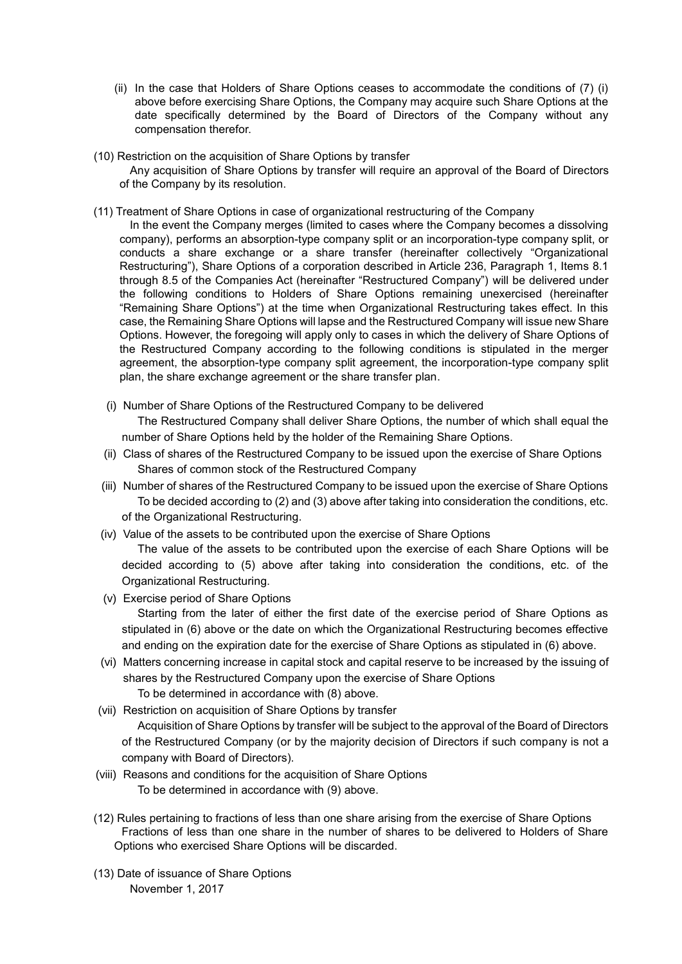- (ii) In the case that Holders of Share Options ceases to accommodate the conditions of (7) (i) above before exercising Share Options, the Company may acquire such Share Options at the date specifically determined by the Board of Directors of the Company without any compensation therefor.
- (10) Restriction on the acquisition of Share Options by transfer Any acquisition of Share Options by transfer will require an approval of the Board of Directors of the Company by its resolution.
- (11) Treatment of Share Options in case of organizational restructuring of the Company
	- In the event the Company merges (limited to cases where the Company becomes a dissolving company), performs an absorption-type company split or an incorporation-type company split, or conducts a share exchange or a share transfer (hereinafter collectively "Organizational Restructuring"), Share Options of a corporation described in Article 236, Paragraph 1, Items 8.1 through 8.5 of the Companies Act (hereinafter "Restructured Company") will be delivered under the following conditions to Holders of Share Options remaining unexercised (hereinafter "Remaining Share Options") at the time when Organizational Restructuring takes effect. In this case, the Remaining Share Options will lapse and the Restructured Company will issue new Share Options. However, the foregoing will apply only to cases in which the delivery of Share Options of the Restructured Company according to the following conditions is stipulated in the merger agreement, the absorption-type company split agreement, the incorporation-type company split plan, the share exchange agreement or the share transfer plan.
	- (i) Number of Share Options of the Restructured Company to be delivered The Restructured Company shall deliver Share Options, the number of which shall equal the number of Share Options held by the holder of the Remaining Share Options.
	- (ii) Class of shares of the Restructured Company to be issued upon the exercise of Share Options Shares of common stock of the Restructured Company
	- (iii) Number of shares of the Restructured Company to be issued upon the exercise of Share Options To be decided according to (2) and (3) above after taking into consideration the conditions, etc. of the Organizational Restructuring.
	- (iv) Value of the assets to be contributed upon the exercise of Share Options

The value of the assets to be contributed upon the exercise of each Share Options will be decided according to (5) above after taking into consideration the conditions, etc. of the Organizational Restructuring.

- (v) Exercise period of Share Options Starting from the later of either the first date of the exercise period of Share Options as stipulated in (6) above or the date on which the Organizational Restructuring becomes effective and ending on the expiration date for the exercise of Share Options as stipulated in (6) above.
- (vi) Matters concerning increase in capital stock and capital reserve to be increased by the issuing of shares by the Restructured Company upon the exercise of Share Options To be determined in accordance with (8) above.
- (vii) Restriction on acquisition of Share Options by transfer

Acquisition of Share Options by transfer will be subject to the approval of the Board of Directors of the Restructured Company (or by the majority decision of Directors if such company is not a company with Board of Directors).

- (viii) Reasons and conditions for the acquisition of Share Options To be determined in accordance with (9) above.
- (12) Rules pertaining to fractions of less than one share arising from the exercise of Share Options Fractions of less than one share in the number of shares to be delivered to Holders of Share Options who exercised Share Options will be discarded.
- (13) Date of issuance of Share Options November 1, 2017